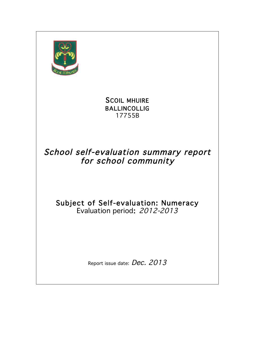

### SCOIL MHUIRE BALLINCOLLIG 17755B

## School self-evaluation summary report for school community

# Subject of Self-evaluation: Numeracy Evaluation period: 2012-2013

Report issue date: Dec. 2013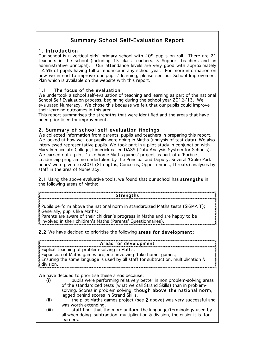### Summary School Self-Evaluation Report

1. Introduction<br>Our school is a vertical girls' primary school with 409 pupils on roll. There are 21 teachers in the school (including 15 class teachers, 5 Support teachers and an administrative principal). Our attendance levels are very good with approximately 12.5% of pupils having full attendance in any school year. For more information on how we intend to improve our pupils' learning, please see our School Improvement Plan which is available on the website with this report.

#### 1.1 The focus of the evaluation

We undertook a school self-evaluation of teaching and learning as part of the national School Self Evaluation process, beginning during the school year 2012-'13. We evaluated Numeracy. We chose this because we felt that our pupils could improve their learning outcomes in this area.

This report summarises the strengths that were identified and the areas that have been prioritised for improvement.

2. Summary of school self-evaluation findings<br>We collected information from parents, pupils and teachers in preparing this report. We looked at how well our pupils were doing in Maths (analysis of test data). We also interviewed representative pupils. We took part in a pilot study in conjunction with Mary Immaculate College, Limerick called DASS (Data Analysis System for Schools). We carried out a pilot 'take home Maths games' project as part of a 'Forbairt' Leadership programme undertaken by the Principal and Deputy. Several 'Croke Park hours' were given to SCOT (Strengths, Concerns, Opportunities, Threats) analyses by staff in the area of Numeracy.

2.1 Using the above evaluative tools, we found that our school has strengths in the following areas of Maths:

#### **Strengths**

Pupils perform above the national norm in standardized Maths tests (SIGMA T); Generally, pupils like Maths;

Parents are aware of their children's progress in Maths and are happy to be involved in their children's Maths (Parents' Questionnaires).

2.2 We have decided to prioritise the following areas for development:

#### Areas for development

Explicit teaching of problem-solving in Maths; Expansion of Maths games projects involving 'take home' games; Ensuring the same language is used by all staff for subtraction, multiplication & division.

We have decided to prioritise these areas because:

- (i) pupils were performing relatively better in non problem-solving areas of the standardized tests (what we call Strand Skills) than in problemsolving. Scores in problem solving, though above the national norm, lagged behind scores in Strand Skills.
- (ii) the pilot Maths games project (see 2 above) was very successful and was worth extending.
- (iii) staff find that the more uniform the language/terminology used by all when doing subtraction, multiplication & division, the easier it is for learners.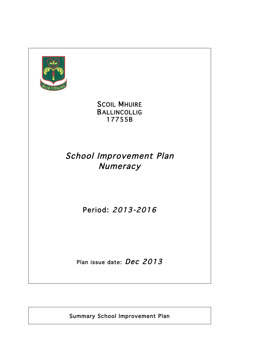

**SCOIL MHUIRE** BALLINCOLLIG 17755B

# School Improvement Plan **Numeracy**

Period: 2013-2016

Plan issue date: Dec 2013

Summary School Improvement Plan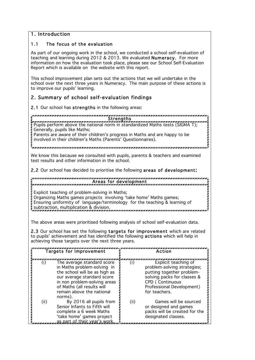#### 1. Introduction

#### 1.1 The focus of the evaluation

As part of our ongoing work in the school, we conducted a school self-evaluation of teaching and learning during 2012 & 2013. We evaluated Numeracy. For more information on how the evaluation took place, please see our School Self-Evaluation Report which is available on the website with this report.

This school improvement plan sets out the actions that we will undertake in the school over the next three years in Numeracy. The main purpose of these actions is to improve our pupils' learning.

#### 2. Summary of school self-evaluation findings

2.1 Our school has strengths in the following areas:

Strengths

Pupils perform above the national norm in standardized Maths tests (SIGMA T); Generally, pupils like Maths;

Parents are aware of their children's progress in Maths and are happy to be involved in their children's Maths (Parents' Questionnaires).

We know this because we consulted with pupils, parents & teachers and examined test results and other information in the school.

2.2 Our school has decided to prioritise the following areas of development:

#### Areas for development

Explicit teaching of problem-solving in Maths;

Organizing Maths games projects involving 'take home' Maths games; Ensuring uniformity of language/terminology for the teaching & learning of subtraction, multiplication & division.

The above areas were prioritised following analysis of school self-evaluation data.

2.3 Our school has set the following targets for improvement which are related to pupils' achievement and has identified the following actions which will help in achieving those targets over the next three years.

| <b>Targets for Improvement</b> |                                                                                                                                                                                                                                | Action |                                                                                                                                                                                  |
|--------------------------------|--------------------------------------------------------------------------------------------------------------------------------------------------------------------------------------------------------------------------------|--------|----------------------------------------------------------------------------------------------------------------------------------------------------------------------------------|
|                                | The average standard score<br>in Maths problem-solving in<br>the school will be as high as<br>our average standard score<br>in non problem-solving areas<br>of Maths (all results will<br>remain above the national<br>norms). |        | Explicit teaching of<br>problem-solving strategies;<br>putting together problem-<br>solving packs for classes &<br>CPD (Continuous<br>Professional Development)<br>for teachers. |
| (ii)                           | By 2016 all pupils from<br>Senior Infants to Fifth will<br>complete a 6 week Maths<br>'take home' games project<br>as part of their year's worl                                                                                | (ii)   | Games will be sourced<br>or designed and games<br>packs will be created for the<br>designated classes.                                                                           |